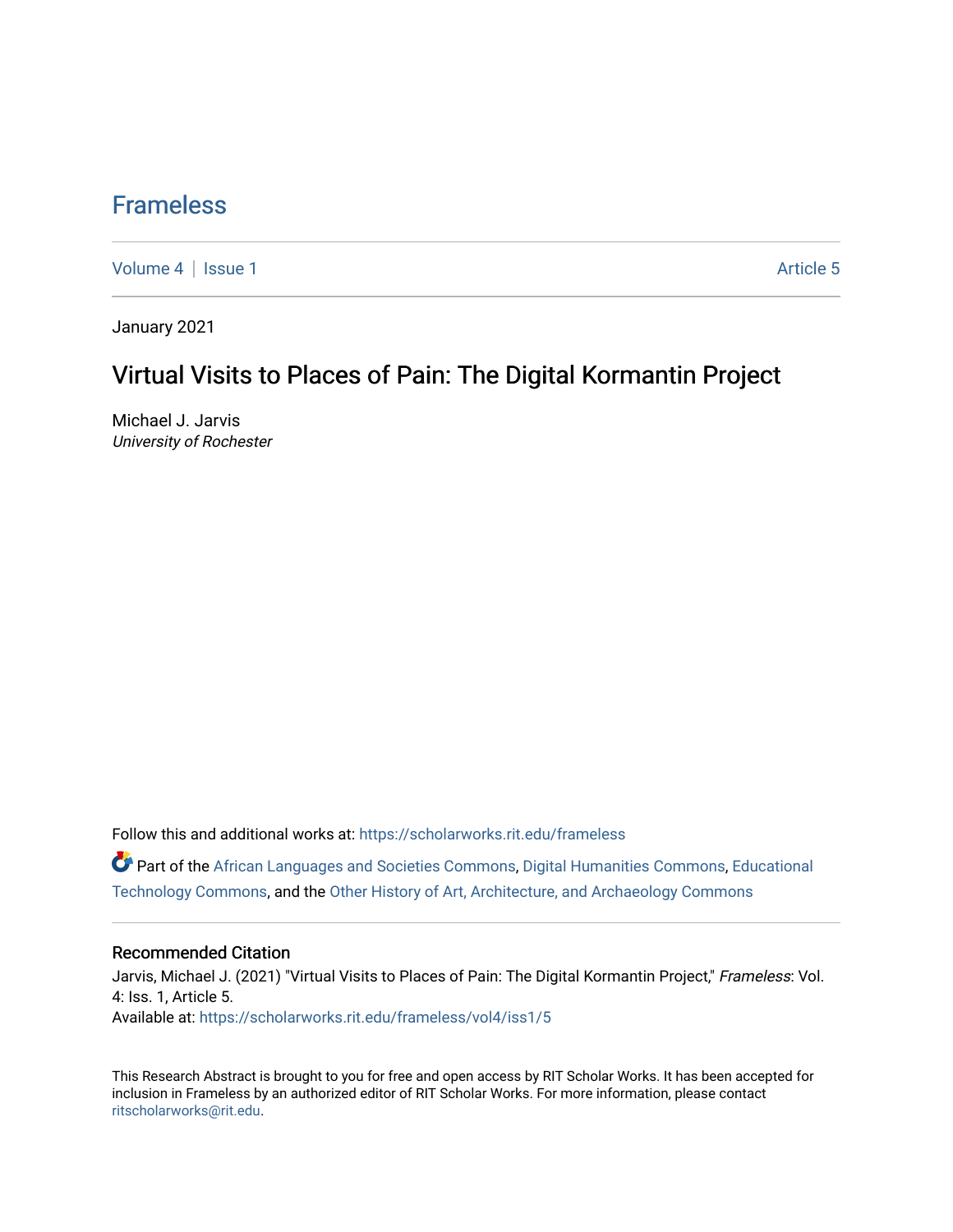## [Frameless](https://scholarworks.rit.edu/frameless)

[Volume 4](https://scholarworks.rit.edu/frameless/vol4) | [Issue 1](https://scholarworks.rit.edu/frameless/vol4/iss1) Article 5

January 2021

## Virtual Visits to Places of Pain: The Digital Kormantin Project

Michael J. Jarvis University of Rochester

Follow this and additional works at: [https://scholarworks.rit.edu/frameless](https://scholarworks.rit.edu/frameless?utm_source=scholarworks.rit.edu%2Fframeless%2Fvol4%2Fiss1%2F5&utm_medium=PDF&utm_campaign=PDFCoverPages)

Part of the [African Languages and Societies Commons,](https://network.bepress.com/hgg/discipline/476?utm_source=scholarworks.rit.edu%2Fframeless%2Fvol4%2Fiss1%2F5&utm_medium=PDF&utm_campaign=PDFCoverPages) [Digital Humanities Commons](https://network.bepress.com/hgg/discipline/1286?utm_source=scholarworks.rit.edu%2Fframeless%2Fvol4%2Fiss1%2F5&utm_medium=PDF&utm_campaign=PDFCoverPages), [Educational](https://network.bepress.com/hgg/discipline/1415?utm_source=scholarworks.rit.edu%2Fframeless%2Fvol4%2Fiss1%2F5&utm_medium=PDF&utm_campaign=PDFCoverPages)  [Technology Commons,](https://network.bepress.com/hgg/discipline/1415?utm_source=scholarworks.rit.edu%2Fframeless%2Fvol4%2Fiss1%2F5&utm_medium=PDF&utm_campaign=PDFCoverPages) and the [Other History of Art, Architecture, and Archaeology Commons](https://network.bepress.com/hgg/discipline/517?utm_source=scholarworks.rit.edu%2Fframeless%2Fvol4%2Fiss1%2F5&utm_medium=PDF&utm_campaign=PDFCoverPages)

## Recommended Citation

Jarvis, Michael J. (2021) "Virtual Visits to Places of Pain: The Digital Kormantin Project," Frameless: Vol. 4: Iss. 1, Article 5. Available at: [https://scholarworks.rit.edu/frameless/vol4/iss1/5](https://scholarworks.rit.edu/frameless/vol4/iss1/5?utm_source=scholarworks.rit.edu%2Fframeless%2Fvol4%2Fiss1%2F5&utm_medium=PDF&utm_campaign=PDFCoverPages)

This Research Abstract is brought to you for free and open access by RIT Scholar Works. It has been accepted for inclusion in Frameless by an authorized editor of RIT Scholar Works. For more information, please contact [ritscholarworks@rit.edu](mailto:ritscholarworks@rit.edu).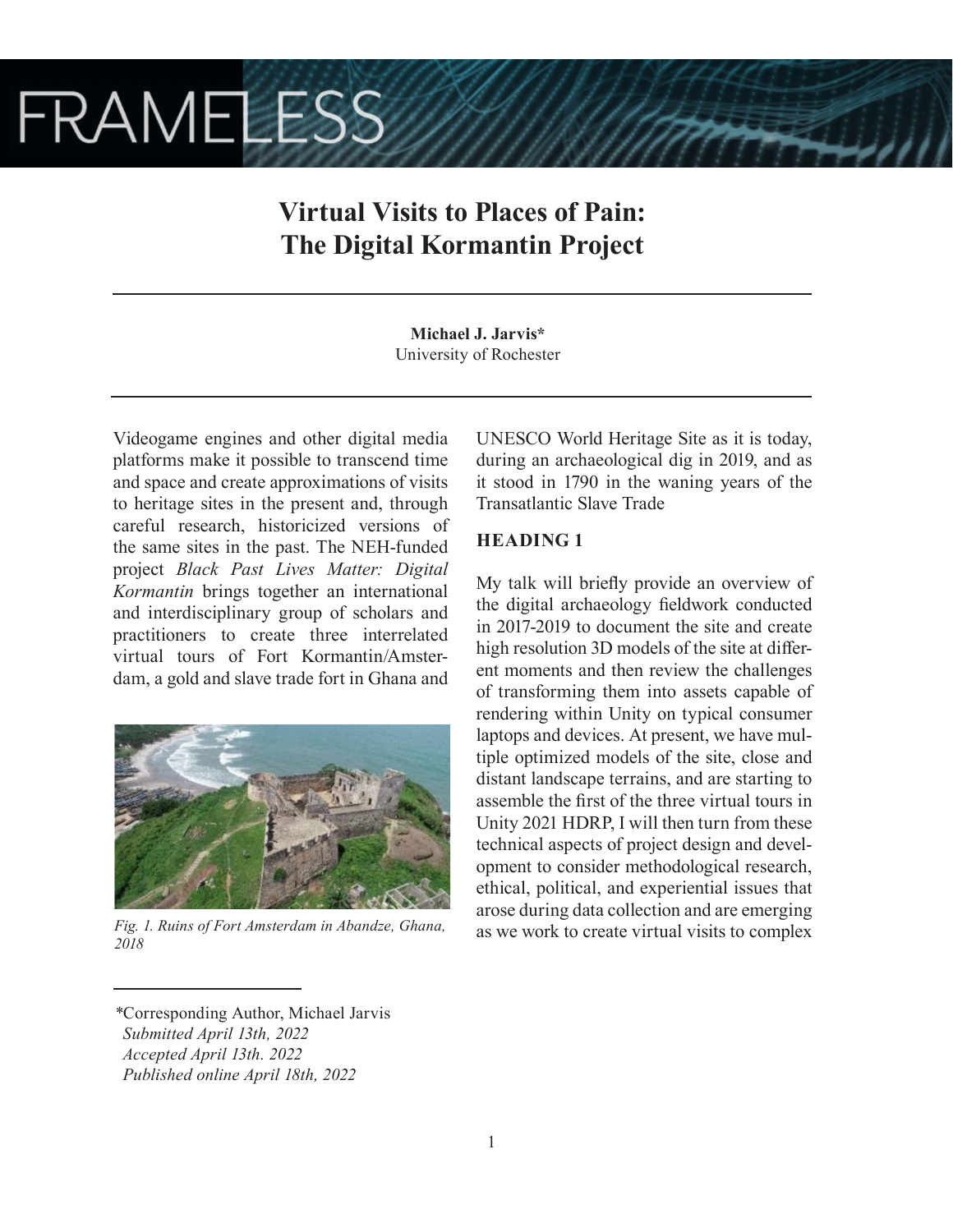# **FRAMELESS**

# **Virtual Visits to Places of Pain: The Digital Kormantin Project**

**Michael J. Jarvis\*** University of Rochester

Videogame engines and other digital media platforms make it possible to transcend time and space and create approximations of visits to heritage sites in the present and, through careful research, historicized versions of the same sites in the past. The NEH-funded project *Black Past Lives Matter: Digital Kormantin* brings together an international and interdisciplinary group of scholars and practitioners to create three interrelated virtual tours of Fort Kormantin/Amsterdam, a gold and slave trade fort in Ghana and



*2018*

UNESCO World Heritage Site as it is today, during an archaeological dig in 2019, and as it stood in 1790 in the waning years of the Transatlantic Slave Trade

## **HEADING 1**

My talk will briefly provide an overview of the digital archaeology fieldwork conducted in 2017-2019 to document the site and create high resolution 3D models of the site at different moments and then review the challenges of transforming them into assets capable of rendering within Unity on typical consumer laptops and devices. At present, we have multiple optimized models of the site, close and distant landscape terrains, and are starting to assemble the first of the three virtual tours in Unity 2021 HDRP, I will then turn from these technical aspects of project design and development to consider methodological research, ethical, political, and experiential issues that arose during data collection and are emerging as we work to create virtual visits to complex *Fig. 1. Ruins of Fort Amsterdam in Abandze, Ghana,* 

*<sup>\*</sup>*Corresponding Author, Michael Jarvis  *Submitted April 13th, 2022 Accepted April 13th. 2022 Published online April 18th, 2022*